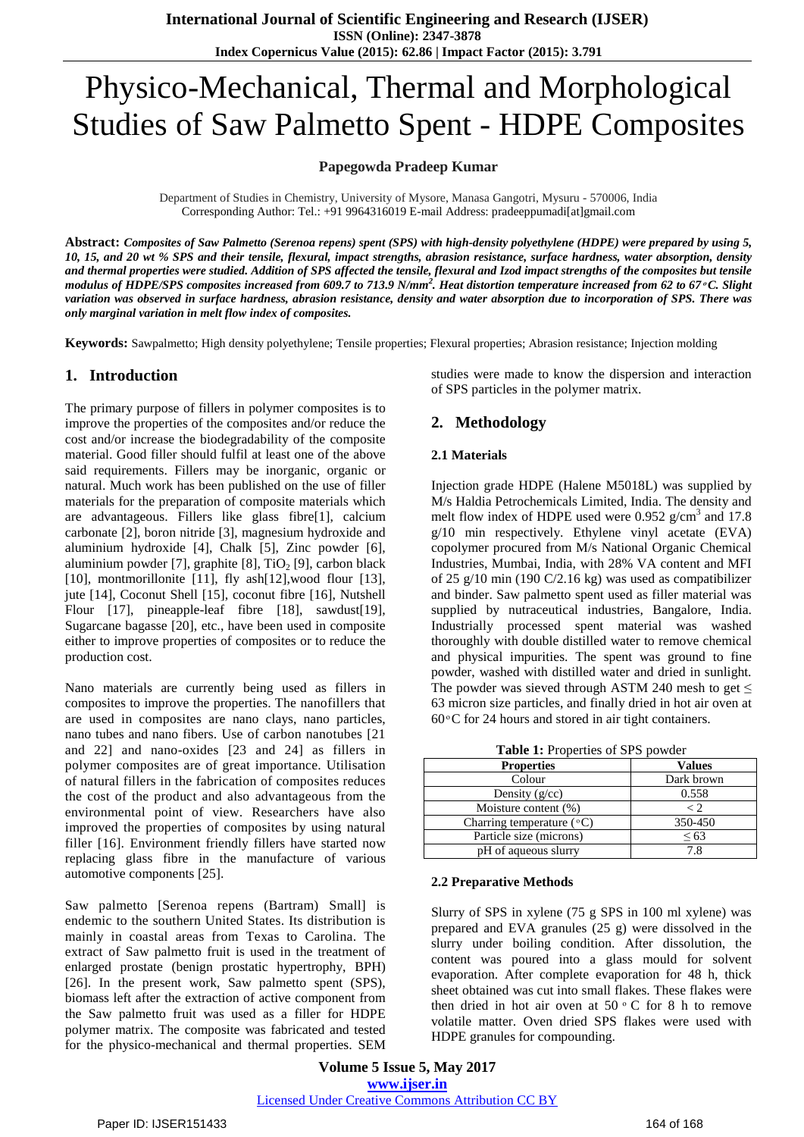# Physico-Mechanical, Thermal and Morphological Studies of Saw Palmetto Spent - HDPE Composites

#### **Papegowda Pradeep Kumar**

Department of Studies in Chemistry, University of Mysore, Manasa Gangotri, Mysuru - 570006, India Corresponding Author: Tel.: +91 9964316019 E-mail Address: pradeeppumadi[at]gmail.com

Abstract: Composites of Saw Palmetto (Serenoa repens) spent (SPS) with high-density polyethylene (HDPE) were prepared by using 5, 10, 15, and 20 wt % SPS and their tensile, flexural, impact strengths, abrasion resistance, surface hardness, water absorption, density and thermal properties were studied. Addition of SPS affected the tensile, flexural and Izod impact strengths of the composites but tensile modulus of HDPE/SPS composites increased from 609.7 to 713.9 N/mm<sup>2</sup>. Heat distortion temperature increased from 62 to 67 °C. Slight variation was observed in surface hardness, abrasion resistance, density and water absorption due to incorporation of SPS. There was *only marginal variation in melt flow index of composites.*

**Keywords:** Sawpalmetto; High density polyethylene; Tensile properties; Flexural properties; Abrasion resistance; Injection molding

## **1. Introduction**

The primary purpose of fillers in polymer composites is to improve the properties of the composites and/or reduce the cost and/or increase the biodegradability of the composite material. Good filler should fulfil at least one of the above said requirements. Fillers may be inorganic, organic or natural. Much work has been published on the use of filler materials for the preparation of composite materials which are advantageous. Fillers like glass fibre[1], calcium carbonate [2], boron nitride [3], magnesium hydroxide and aluminium hydroxide [4], Chalk [5], Zinc powder [6], aluminium powder [7], graphite [8],  $TiO<sub>2</sub>$  [9], carbon black [10], montmorillonite [11], fly ash[12], wood flour [13], jute [14], Coconut Shell [15], coconut fibre [16], Nutshell Flour [17], pineapple-leaf fibre [18], sawdust[19], Sugarcane bagasse [20], etc., have been used in composite either to improve properties of composites or to reduce the production cost.

Nano materials are currently being used as fillers in composites to improve the properties. The nanofillers that are used in composites are nano clays, nano particles, nano tubes and nano fibers. Use of carbon nanotubes [21 and 22] and nano-oxides [23 and 24] as fillers in polymer composites are of great importance. Utilisation of natural fillers in the fabrication of composites reduces the cost of the product and also advantageous from the environmental point of view. Researchers have also improved the properties of composites by using natural filler [16]. Environment friendly fillers have started now replacing glass fibre in the manufacture of various automotive components [25].

Saw palmetto [Serenoa repens (Bartram) Small] is endemic to the southern United States. Its distribution is mainly in coastal areas from Texas to Carolina. The extract of Saw palmetto fruit is used in the treatment of [enlarged](http://men.webmd.com/tc/Benign-Prostatic-Hyperplasia-BPH-Topic-Overview) prostate (benign prostatic hypertrophy, [BPH\)](http://men.webmd.com/tc/Benign-Prostatic-Hyperplasia-BPH-Topic-Overview) [26]. In the present work, Saw palmetto spent (SPS), biomass left after the extraction of active component from the Saw palmetto fruit was used as a filler for HDPE polymer matrix. The composite was fabricated and tested for the physico-mechanical and thermal properties. SEM

studies were made to know the dispersion and interaction of SPS particles in the polymer matrix.

## **2. Methodology**

#### **2.1 Materials**

Injection grade HDPE (Halene M5018L) was supplied by M/s Haldia Petrochemicals Limited, India. The density and melt flow index of HDPE used were 0.952  $g/cm<sup>3</sup>$  and 17.8 g/10 min respectively. Ethylene vinyl acetate (EVA) copolymer procured from M/s National Organic Chemical Industries, Mumbai, India, with 28% VA content and MFI of 25 g/10 min (190 C/2.16 kg) was used as compatibilizer and binder. Saw palmetto spent used as filler material was supplied by nutraceutical industries, Bangalore, India. Industrially processed spent material was washed thoroughly with double distilled water to remove chemical and physical impurities. The spent was ground to fine powder, washed with distilled water and dried in sunlight. The powder was sieved through ASTM 240 mesh to get  $\leq$ 63 micron size particles, and finally dried in hot air oven at  $60^{\circ}$ C for 24 hours and stored in air tight containers.

| <b>Lable 1.</b> 110 percent of St S powder |               |  |  |  |
|--------------------------------------------|---------------|--|--|--|
| <b>Properties</b>                          | <b>Values</b> |  |  |  |
| Colour                                     | Dark brown    |  |  |  |
| Density $(g/cc)$                           | 0.558         |  |  |  |
| Moisture content (%)                       | $\langle$ 2.  |  |  |  |
| Charring temperature $({}^{\circ}C)$       | 350-450       |  |  |  |
| Particle size (microns)                    | ${}^{<}63$    |  |  |  |
| pH of aqueous slurry                       | 7.8           |  |  |  |

**Table 1:** Properties of SPS powder

#### **2.2 Preparative Methods**

Slurry of SPS in xylene (75 g SPS in 100 ml xylene) was prepared and EVA granules (25 g) were dissolved in the slurry under boiling condition. After dissolution, the content was poured into a glass mould for solvent evaporation. After complete evaporation for 48 h, thick sheet obtained was cut into small flakes. These flakes were then dried in hot air oven at  $50 \degree$  C for 8 h to remove volatile matter. Oven dried SPS flakes were used with HDPE granules for compounding.

**Volume 5 Issue 5, May 2017 www.ijser.in** Licensed Under Creative Commons Attribution CC BY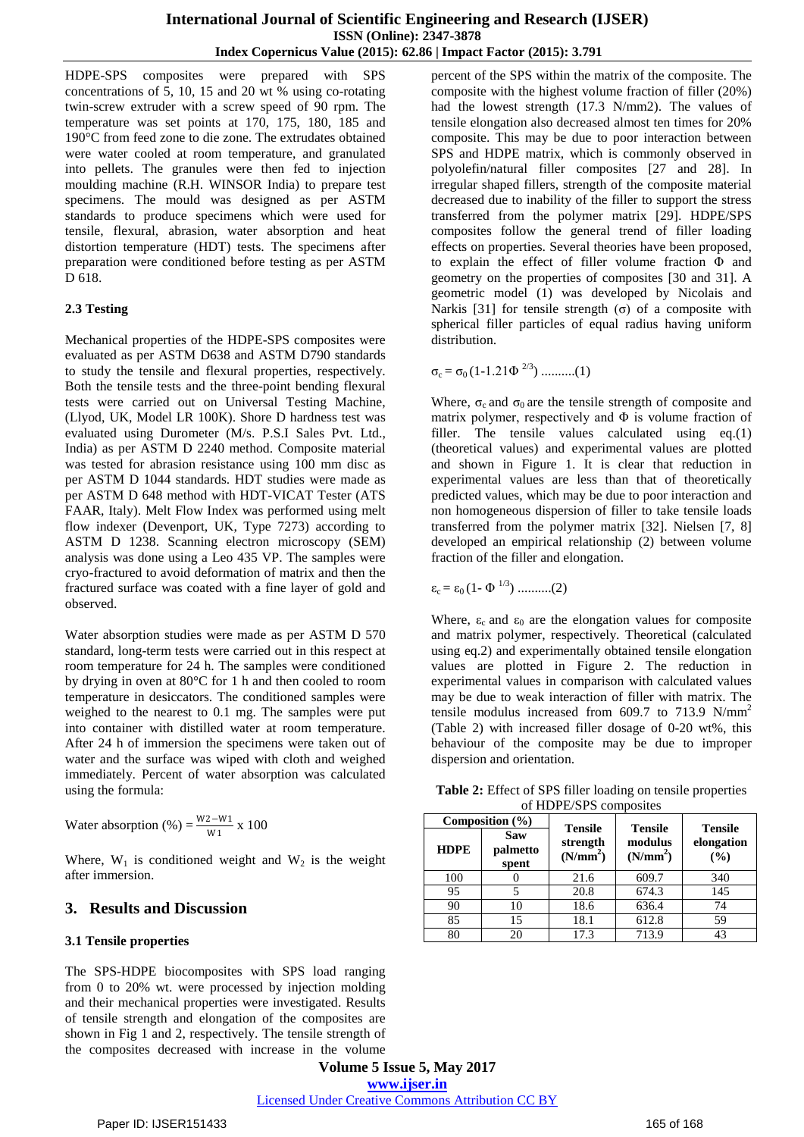HDPE-SPS composites were prepared with SPS concentrations of 5, 10, 15 and 20 wt % using co-rotating twin-screw extruder with a screw speed of 90 rpm. The temperature was set points at 170, 175, 180, 185 and 190°C from feed zone to die zone. The extrudates obtained were water cooled at room temperature, and granulated into pellets. The granules were then fed to injection moulding machine (R.H. WINSOR India) to prepare test specimens. The mould was designed as per ASTM standards to produce specimens which were used for tensile, flexural, abrasion, water absorption and heat distortion temperature (HDT) tests. The specimens after preparation were conditioned before testing as per ASTM D 618.

#### **2.3 Testing**

Mechanical properties of the HDPE-SPS composites were evaluated as per ASTM D638 and ASTM D790 standards to study the tensile and flexural properties, respectively. Both the tensile tests and the three-point bending flexural tests were carried out on Universal Testing Machine, (Llyod, UK, Model LR 100K). Shore D hardness test was evaluated using Durometer (M/s. P.S.I Sales Pvt. Ltd., India) as per ASTM D 2240 method. Composite material was tested for abrasion resistance using 100 mm disc as per ASTM D 1044 standards. HDT studies were made as per ASTM D 648 method with HDT-VICAT Tester (ATS FAAR, Italy). Melt Flow Index was performed using melt flow indexer (Devenport, UK, Type 7273) according to ASTM D 1238. Scanning electron microscopy (SEM) analysis was done using a Leo 435 VP. The samples were cryo-fractured to avoid deformation of matrix and then the fractured surface was coated with a fine layer of gold and observed.

Water absorption studies were made as per ASTM D 570 standard, long-term tests were carried out in this respect at room temperature for 24 h. The samples were conditioned by drying in oven at 80°C for 1 h and then cooled to room temperature in desiccators. The conditioned samples were weighed to the nearest to 0.1 mg. The samples were put into container with distilled water at room temperature. After 24 h of immersion the specimens were taken out of water and the surface was wiped with cloth and weighed immediately. Percent of water absorption was calculated using the formula:

Water absorption (%) = 
$$
\frac{W2-W1}{W1}
$$
 x 100

Where,  $W_1$  is conditioned weight and  $W_2$  is the weight after immersion.

## **3. Results and Discussion**

#### **3.1 Tensile properties**

The SPS-HDPE biocomposites with SPS load ranging from 0 to 20% wt. were processed by injection molding and their mechanical properties were investigated. Results of tensile strength and elongation of the composites are shown in Fig 1 and 2, respectively. The tensile strength of the composites decreased with increase in the volume

percent of the SPS within the matrix of the composite. The composite with the highest volume fraction of filler (20%) had the lowest strength (17.3 N/mm2). The values of tensile elongation also decreased almost ten times for 20% composite. This may be due to poor interaction between SPS and HDPE matrix, which is commonly observed in polyolefin/natural filler composites [27 and 28]. In irregular shaped fillers, strength of the composite material decreased due to inability of the filler to support the stress transferred from the polymer matrix [29]. HDPE/SPS composites follow the general trend of filler loading effects on properties. Several theories have been proposed, to explain the effect of filler volume fraction Φ and geometry on the properties of composites [30 and 31]. A geometric model (1) was developed by Nicolais and Narkis [31] for tensile strength (σ) of a composite with spherical filler particles of equal radius having uniform distribution.

$$
\sigma_c = \sigma_0 (1 - 1.21 \Phi^{2/3}) \dots (1)
$$

Where,  $\sigma_c$  and  $\sigma_0$  are the tensile strength of composite and matrix polymer, respectively and  $\Phi$  is volume fraction of filler. The tensile values calculated using eq.(1) (theoretical values) and experimental values are plotted and shown in Figure 1. It is clear that reduction in experimental values are less than that of theoretically predicted values, which may be due to poor interaction and non homogeneous dispersion of filler to take tensile loads transferred from the polymer matrix [32]. Nielsen [7, 8] developed an empirical relationship (2) between volume fraction of the filler and elongation.

ε<sup>c</sup> = ε<sup>0</sup> (1- Φ 1/3) ..........(2)

Where,  $\varepsilon_c$  and  $\varepsilon_0$  are the elongation values for composite and matrix polymer, respectively. Theoretical (calculated using eq.2) and experimentally obtained tensile elongation values are plotted in Figure 2. The reduction in experimental values in comparison with calculated values may be due to weak interaction of filler with matrix. The tensile modulus increased from 609.7 to 713.9  $N/mm^2$ (Table 2) with increased filler dosage of 0-20 wt%, this behaviour of the composite may be due to improper dispersion and orientation.

**Table 2:** Effect of SPS filler loading on tensile properties of HDPE/SPS composites

| Composition $(\% )$ |                          | <b>Tensile</b>                   | <b>Tensile</b>                  | <b>Tensile</b>    |  |
|---------------------|--------------------------|----------------------------------|---------------------------------|-------------------|--|
| <b>HDPE</b>         | Saw<br>palmetto<br>spent | strength<br>(N/mm <sup>2</sup> ) | modulus<br>(N/mm <sup>2</sup> ) | elongation<br>(%) |  |
| 100                 |                          | 21.6                             | 609.7                           | 340               |  |
| 95                  |                          | 20.8                             | 674.3                           | 145               |  |
| 90                  | 10                       | 18.6                             | 636.4                           | 74                |  |
| 85                  | 15                       | 18.1                             | 612.8                           | 59                |  |
| 80                  | 20                       | 17.3                             | 713.9                           | 43                |  |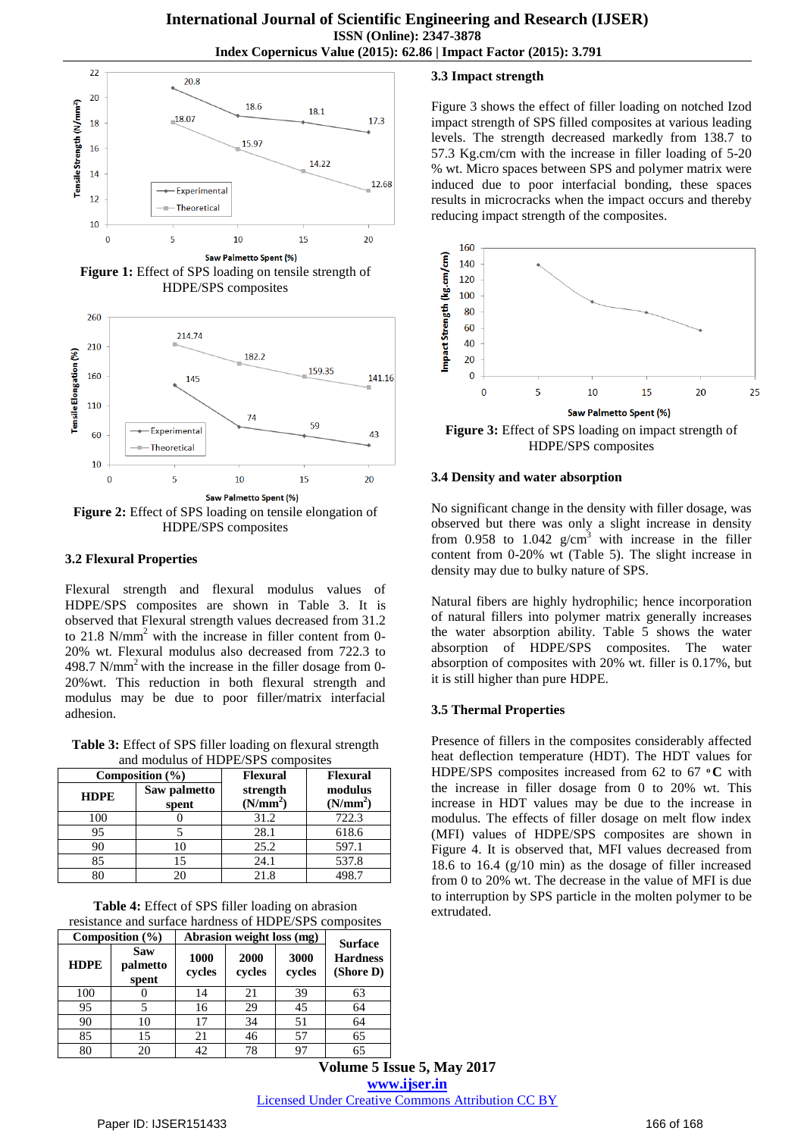

**Figure 1:** Effect of SPS loading on tensile strength of HDPE/SPS composites



HDPE/SPS composites

#### **3.2 Flexural Properties**

Flexural strength and flexural modulus values of HDPE/SPS composites are shown in Table 3. It is observed that Flexural strength values decreased from 31.2 to 21.8 N/mm<sup>2</sup> with the increase in filler content from 0-20% wt. Flexural modulus also decreased from 722.3 to 498.7 N/mm<sup>2</sup> with the increase in the filler dosage from 0-20%wt. This reduction in both flexural strength and modulus may be due to poor filler/matrix interfacial adhesion.

**Table 3:** Effect of SPS filler loading on flexural strength and modulus of HDPE/SPS composites

|             | Composition $(\% )$   | <b>Flexural</b>                  | <b>Flexural</b><br>modulus<br>(N/mm <sup>2</sup> ) |  |
|-------------|-----------------------|----------------------------------|----------------------------------------------------|--|
| <b>HDPE</b> | Saw palmetto<br>spent | strength<br>(N/mm <sup>2</sup> ) |                                                    |  |
| 100         |                       | 31.2                             | 722.3                                              |  |
| 95          |                       | 28.1                             | 618.6                                              |  |
| 90          |                       | 25.2                             | 597.1                                              |  |
| 85          | 15                    | 24.1                             | 537.8                                              |  |
|             |                       | 21.8                             | 498.7                                              |  |

**Table 4:** Effect of SPS filler loading on abrasion resistance and surface hardness of HDPE/SPS composites

|             | Composition $(\% )$      | Abrasion weight loss (mg) |                |                | <b>Surface</b>               |
|-------------|--------------------------|---------------------------|----------------|----------------|------------------------------|
| <b>HDPE</b> | Saw<br>palmetto<br>spent | 1000<br>cycles            | 2000<br>cycles | 3000<br>cycles | <b>Hardness</b><br>(Shore D) |
| 100         |                          | 14                        | 21             | 39             | 63                           |
| 95          |                          | 16                        | 29             | 45             | 64                           |
| 90          | 10                       | 17                        | 34             | 51             | 64                           |
| 85          | 15                       | 21                        | 46             | 57             | 65                           |
| 80          | 20                       | 42                        | 78             | 97             | 65                           |

## **3.3 Impact strength**

Figure 3 shows the effect of filler loading on notched Izod impact strength of SPS filled composites at various leading levels. The strength decreased markedly from 138.7 to 57.3 Kg.cm/cm with the increase in filler loading of 5-20 % wt. Micro spaces between SPS and polymer matrix were induced due to poor interfacial bonding, these spaces results in microcracks when the impact occurs and thereby reducing impact strength of the composites.



**Figure 3:** Effect of SPS loading on impact strength of HDPE/SPS composites

#### **3.4 Density and water absorption**

No significant change in the density with filler dosage, was observed but there was only a slight increase in density from 0.958 to 1.042  $g/cm<sup>3</sup>$  with increase in the filler content from 0-20% wt (Table 5). The slight increase in density may due to bulky nature of SPS.

Natural fibers are highly hydrophilic; hence incorporation of natural fillers into polymer matrix generally increases the water absorption ability. Table 5 shows the water absorption of HDPE/SPS composites. The water absorption of composites with 20% wt. filler is 0.17%, but it is still higher than pure HDPE.

## **3.5 Thermal Properties**

Presence of fillers in the composites considerably affected heat deflection temperature (HDT). The HDT values for HDPE/SPS composites increased from 62 to 67 °C with the increase in filler dosage from 0 to 20% wt. This increase in HDT values may be due to the increase in modulus. The effects of filler dosage on melt flow index (MFI) values of HDPE/SPS composites are shown in Figure 4. It is observed that, MFI values decreased from 18.6 to 16.4 (g/10 min) as the dosage of filler increased from 0 to 20% wt. The decrease in the value of MFI is due to interruption by SPS particle in the molten polymer to be extrudated.

**Volume 5 Issue 5, May 2017 www.ijser.in** Licensed Under Creative Commons Attribution CC BY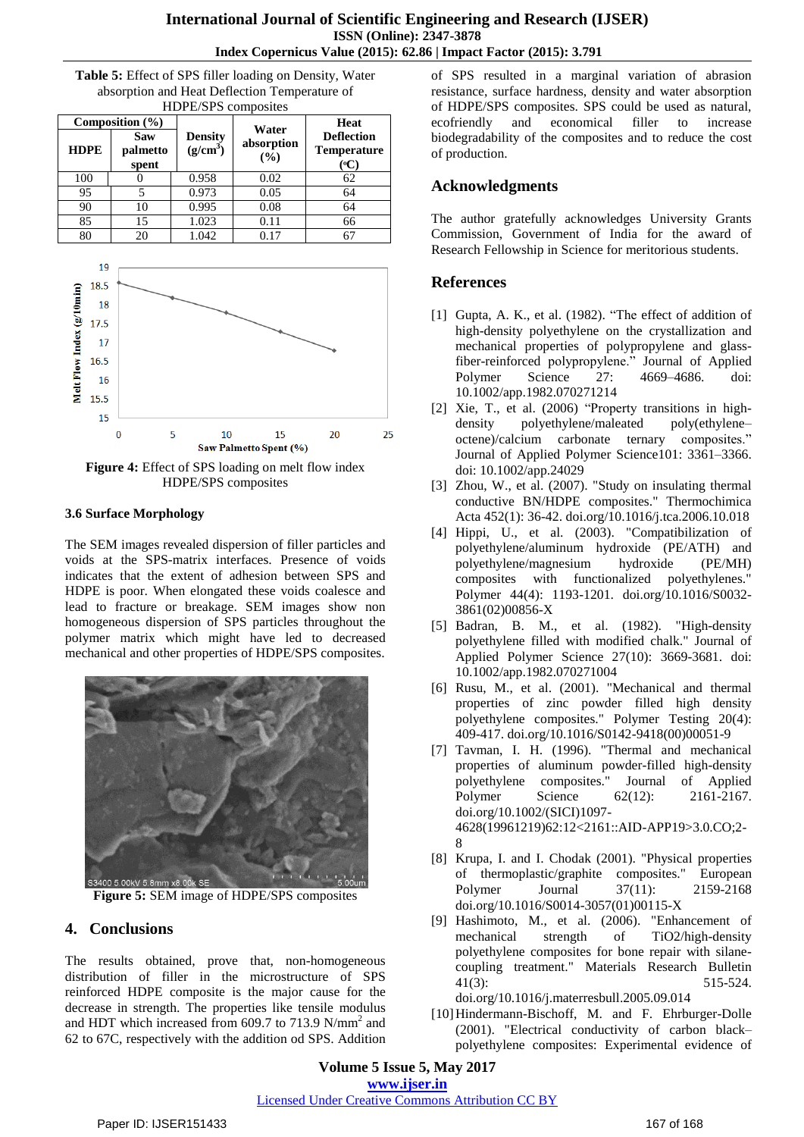**Table 5:** Effect of SPS filler loading on Density, Water absorption and Heat Deflection Temperature of HDPE/SPS composites

| <b>HDPE</b> | Composition $(\% )$<br>Saw<br>palmetto<br>spent | <b>Density</b><br>(g/cm <sup>3</sup> ) | Water<br>absorption<br>(%) | <b>Heat</b><br><b>Deflection</b><br><b>Temperature</b><br>$({}^0C)$ |
|-------------|-------------------------------------------------|----------------------------------------|----------------------------|---------------------------------------------------------------------|
| 100         |                                                 | 0.958                                  | 0.02                       | 62                                                                  |
| 95          |                                                 | 0.973                                  | 0.05                       | 64                                                                  |
| 90          | 10                                              | 0.995                                  | 0.08                       | 64                                                                  |
| 85          | 15                                              | 1.023                                  | 0.11                       | 66                                                                  |
| 80          | 20                                              | 1.042                                  | 0.17                       |                                                                     |



**Figure 4:** Effect of SPS loading on melt flow index HDPE/SPS composites

#### **3.6 Surface Morphology**

The SEM images revealed dispersion of filler particles and voids at the SPS-matrix interfaces. Presence of voids indicates that the extent of adhesion between SPS and HDPE is poor. When elongated these voids coalesce and lead to fracture or breakage. SEM images show non homogeneous dispersion of SPS particles throughout the polymer matrix which might have led to decreased mechanical and other properties of HDPE/SPS composites.



**Figure 5:** SEM image of HDPE/SPS composites

# **4. Conclusions**

The results obtained, prove that, non-homogeneous distribution of filler in the microstructure of SPS reinforced HDPE composite is the major cause for the decrease in strength. The properties like tensile modulus and HDT which increased from 609.7 to 713.9 N/mm<sup>2</sup> and 62 to 67C, respectively with the addition od SPS. Addition of SPS resulted in a marginal variation of abrasion resistance, surface hardness, density and water absorption of HDPE/SPS composites. SPS could be used as natural, ecofriendly and economical filler to increase biodegradability of the composites and to reduce the cost of production.

## **Acknowledgments**

The author gratefully acknowledges University Grants Commission, Government of India for the award of Research Fellowship in Science for meritorious students.

# **References**

- [1] Gupta, A. K., et al. (1982). "The effect of addition of high-density polyethylene on the crystallization and mechanical properties of polypropylene and glassfiber-reinforced polypropylene." Journal of Applied Polymer Science 27: 4669–4686. doi: 10.1002/app.1982.070271214
- [2] Xie, T., et al. (2006) "Property transitions in highdensity polyethylene/maleated poly(ethylene– octene)/calcium carbonate ternary composites." Journal of Applied Polymer Science101: 3361–3366. doi: 10.1002/app.24029
- [3] Zhou, W., et al. (2007). "Study on insulating thermal conductive BN/HDPE composites." Thermochimica Acta 452(1): 36-42. [doi.org/10.1016/j.tca.2006.10.018](http://dx.doi.org/10.1016/j.tca.2006.10.018)
- [4] Hippi, U., et al. (2003). "Compatibilization of polyethylene/aluminum hydroxide (PE/ATH) and polyethylene/magnesium hydroxide (PE/MH) composites with functionalized polyethylenes." Polymer 44(4): 1193-1201. [doi.org/10.1016/S0032-](http://dx.doi.org/10.1016/S0032-3861(02)00856-X) [3861\(02\)00856-X](http://dx.doi.org/10.1016/S0032-3861(02)00856-X)
- [5] Badran, B. M., et al. (1982). "High-density polyethylene filled with modified chalk." Journal of Applied Polymer Science 27(10): 3669-3681. doi: 10.1002/app.1982.070271004
- [6] Rusu, M., et al. (2001). "Mechanical and thermal properties of zinc powder filled high density polyethylene composites." Polymer Testing 20(4): 409-417. [doi.org/10.1016/S0142-9418\(00\)00051-9](http://dx.doi.org/10.1016/S0142-9418(00)00051-9)
- [7] Tavman, I. H. (1996). "Thermal and mechanical properties of aluminum powder-filled high-density polyethylene composites." Journal of Applied Polymer Science 62(12): 2161-2167. doi.org/10.1002/(SICI)1097- 4628(19961219)62:12<2161::AID-APP19>3.0.CO;2- 8
- [8] Krupa, I. and I. Chodak (2001). "Physical properties of thermoplastic/graphite composites." European Polymer Journal 37(11): 2159-2168 [doi.org/10.1016/S0014-3057\(01\)00115-X](http://dx.doi.org/10.1016/S0014-3057(01)00115-X)
- [9] Hashimoto, M., et al. (2006). "Enhancement of mechanical strength of TiO2/high-density polyethylene composites for bone repair with silanecoupling treatment." Materials Research Bulletin 41(3): 515-524.

doi.org/10.1016/j.materresbull.2005.09.014

[10]Hindermann-Bischoff, M. and F. Ehrburger-Dolle (2001). "Electrical conductivity of carbon black– polyethylene composites: Experimental evidence of

**Volume 5 Issue 5, May 2017 www.ijser.in** Licensed Under Creative Commons Attribution CC BY